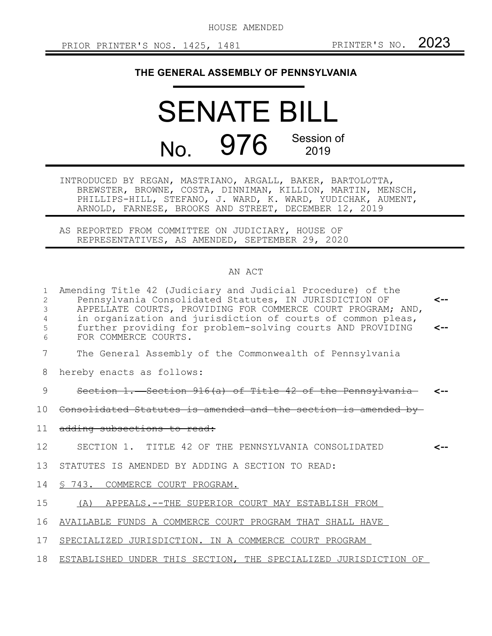HOUSE AMENDED

## **THE GENERAL ASSEMBLY OF PENNSYLVANIA**

## SENATE BILL No. 976 Session of 2019

INTRODUCED BY REGAN, MASTRIANO, ARGALL, BAKER, BARTOLOTTA, BREWSTER, BROWNE, COSTA, DINNIMAN, KILLION, MARTIN, MENSCH, PHILLIPS-HILL, STEFANO, J. WARD, K. WARD, YUDICHAK, AUMENT, ARNOLD, FARNESE, BROOKS AND STREET, DECEMBER 12, 2019

AS REPORTED FROM COMMITTEE ON JUDICIARY, HOUSE OF REPRESENTATIVES, AS AMENDED, SEPTEMBER 29, 2020

## AN ACT

| 1<br>2<br>3<br>4<br>5<br>6 | Amending Title 42 (Judiciary and Judicial Procedure) of the<br>Pennsylvania Consolidated Statutes, IN JURISDICTION OF<br>APPELLATE COURTS, PROVIDING FOR COMMERCE COURT PROGRAM; AND,<br>in organization and jurisdiction of courts of common pleas,<br>further providing for problem-solving courts AND PROVIDING<br>FOR COMMERCE COURTS. | <--<br>$\leftarrow$ |
|----------------------------|--------------------------------------------------------------------------------------------------------------------------------------------------------------------------------------------------------------------------------------------------------------------------------------------------------------------------------------------|---------------------|
| 7                          | The General Assembly of the Commonwealth of Pennsylvania                                                                                                                                                                                                                                                                                   |                     |
| 8                          | hereby enacts as follows:                                                                                                                                                                                                                                                                                                                  |                     |
| 9                          | Section 1. Section 916(a) of Title 42 of the Pennsylvania                                                                                                                                                                                                                                                                                  |                     |
| 10                         | Consolidated Statutes is amended and the section is amended by-                                                                                                                                                                                                                                                                            |                     |
| 11                         | adding subsections to read:                                                                                                                                                                                                                                                                                                                |                     |
| 12                         | SECTION 1. TITLE 42 OF THE PENNSYLVANIA CONSOLIDATED                                                                                                                                                                                                                                                                                       |                     |
| 13                         | STATUTES IS AMENDED BY ADDING A SECTION TO READ:                                                                                                                                                                                                                                                                                           |                     |
| 14                         | S 743. COMMERCE COURT PROGRAM.                                                                                                                                                                                                                                                                                                             |                     |
| 15                         | (A) APPEALS.--THE SUPERIOR COURT MAY ESTABLISH FROM                                                                                                                                                                                                                                                                                        |                     |
| 16                         | AVAILABLE FUNDS A COMMERCE COURT PROGRAM THAT SHALL HAVE                                                                                                                                                                                                                                                                                   |                     |
| 17                         | SPECIALIZED JURISDICTION. IN A COMMERCE COURT PROGRAM                                                                                                                                                                                                                                                                                      |                     |
| 18                         | ESTABLISHED UNDER THIS SECTION, THE SPECIALIZED JURISDICTION OF                                                                                                                                                                                                                                                                            |                     |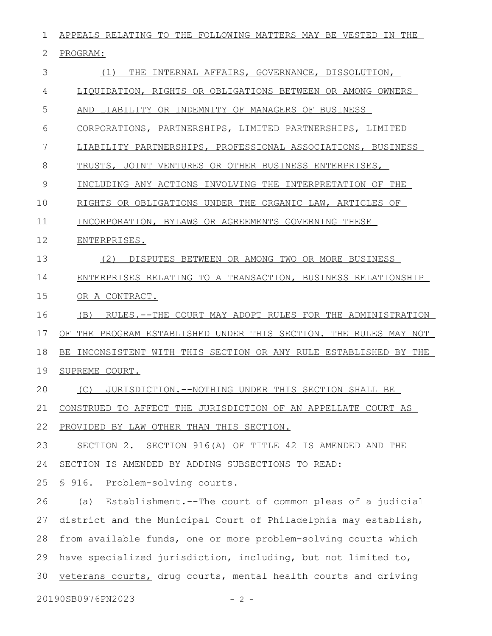APPEALS RELATING TO THE FOLLOWING MATTERS MAY BE VESTED IN THE PROGRAM: (1) THE INTERNAL AFFAIRS, GOVERNANCE, DISSOLUTION, LIQUIDATION, RIGHTS OR OBLIGATIONS BETWEEN OR AMONG OWNERS AND LIABILITY OR INDEMNITY OF MANAGERS OF BUSINESS CORPORATIONS, PARTNERSHIPS, LIMITED PARTNERSHIPS, LIMITED LIABILITY PARTNERSHIPS, PROFESSIONAL ASSOCIATIONS, BUSINESS TRUSTS, JOINT VENTURES OR OTHER BUSINESS ENTERPRISES, INCLUDING ANY ACTIONS INVOLVING THE INTERPRETATION OF THE RIGHTS OR OBLIGATIONS UNDER THE ORGANIC LAW, ARTICLES OF INCORPORATION, BYLAWS OR AGREEMENTS GOVERNING THESE ENTERPRISES. (2) DISPUTES BETWEEN OR AMONG TWO OR MORE BUSINESS ENTERPRISES RELATING TO A TRANSACTION, BUSINESS RELATIONSHIP OR A CONTRACT. (B) RULES.--THE COURT MAY ADOPT RULES FOR THE ADMINISTRATION OF THE PROGRAM ESTABLISHED UNDER THIS SECTION. THE RULES MAY NOT BE INCONSISTENT WITH THIS SECTION OR ANY RULE ESTABLISHED BY THE SUPREME COURT. (C) JURISDICTION.--NOTHING UNDER THIS SECTION SHALL BE CONSTRUED TO AFFECT THE JURISDICTION OF AN APPELLATE COURT AS PROVIDED BY LAW OTHER THAN THIS SECTION. SECTION 2.SECTION 916(A) OF TITLE 42 IS AMENDED AND THE SECTION IS AMENDED BY ADDING SUBSECTIONS TO READ: § 916. Problem-solving courts. (a) Establishment.--The court of common pleas of a judicial district and the Municipal Court of Philadelphia may establish, from available funds, one or more problem-solving courts which have specialized jurisdiction, including, but not limited to, veterans courts, drug courts, mental health courts and driving 1 2 3 4 5 6 7 8 9 10 11 12 13 14 15 16 17 18 19 20 21 22 23 24 25 26 27 28 29 30

20190SB0976PN2023 - 2 -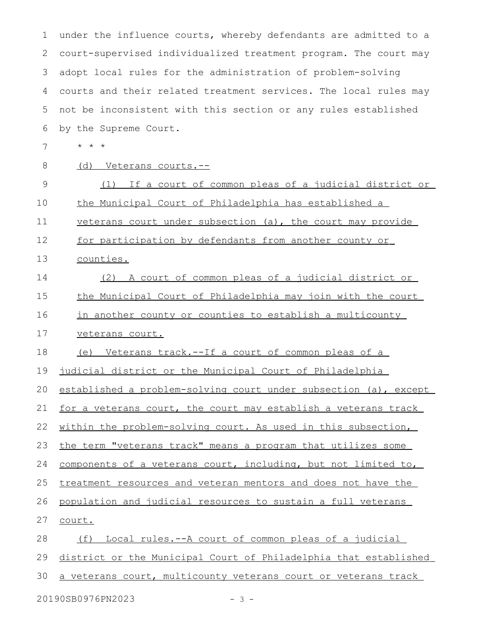| $\mathbf 1$ | under the influence courts, whereby defendants are admitted to a    |
|-------------|---------------------------------------------------------------------|
| 2           | court-supervised individualized treatment program. The court may    |
| 3           | adopt local rules for the administration of problem-solving         |
| 4           | courts and their related treatment services. The local rules may    |
| 5           | not be inconsistent with this section or any rules established      |
| 6           | by the Supreme Court.                                               |
| 7           | $\star$ $\star$<br>$\star$                                          |
| 8           | (d) Veterans courts.--                                              |
| 9           | If a court of common pleas of a judicial district or<br>(1)         |
| 10          | the Municipal Court of Philadelphia has established a               |
| 11          | veterans court under subsection (a), the court may provide          |
| 12          | for participation by defendants from another county or              |
| 13          | counties.                                                           |
| 14          | (2) A court of common pleas of a judicial district or               |
| 15          | the Municipal Court of Philadelphia may join with the court         |
| 16          | in another county or counties to establish a multicounty            |
| 17          | veterans court.                                                     |
| 18          | (e) Veterans track.--If a court of common pleas of a                |
| 19          | judicial district or the Municipal Court of Philadelphia            |
|             | 20 established a problem-solving court under subsection (a), except |
| 21          | for a veterans court, the court may establish a veterans track      |
| 22          | within the problem-solving court. As used in this subsection,       |
| 23          | the term "veterans track" means a program that utilizes some        |
| 24          | components of a veterans court, including, but not limited to,      |
| 25          | treatment resources and veteran mentors and does not have the       |
| 26          | population and judicial resources to sustain a full veterans        |
| 27          | court.                                                              |
| 28          | Local rules. -- A court of common pleas of a judicial<br>(f)        |
| 29          | district or the Municipal Court of Philadelphia that established    |
| 30          | a veterans court, multicounty veterans court or veterans track      |
|             |                                                                     |

20190SB0976PN2023 - 3 -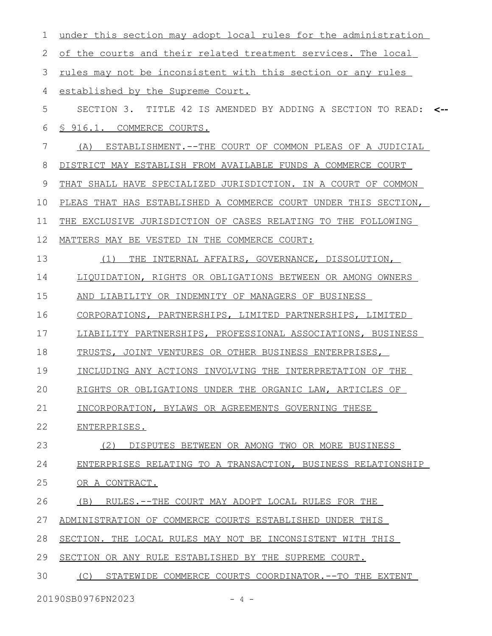| 1  | under this section may adopt local rules for the administration  |     |
|----|------------------------------------------------------------------|-----|
| 2  | of the courts and their related treatment services. The local    |     |
| 3  | rules may not be inconsistent with this section or any rules     |     |
| 4  | established by the Supreme Court.                                |     |
| 5  | SECTION 3. TITLE 42 IS AMENDED BY ADDING A SECTION TO READ:      | — > |
| 6  | \$916.1. COMMERCE COURTS.                                        |     |
| 7  | ESTABLISHMENT. -- THE COURT OF COMMON PLEAS OF A JUDICIAL<br>(A) |     |
| 8  | DISTRICT MAY ESTABLISH FROM AVAILABLE FUNDS A COMMERCE COURT     |     |
| 9  | THAT SHALL HAVE SPECIALIZED JURISDICTION. IN A COURT OF COMMON   |     |
| 10 | PLEAS THAT HAS ESTABLISHED A COMMERCE COURT UNDER THIS SECTION,  |     |
| 11 | THE EXCLUSIVE JURISDICTION OF CASES RELATING TO THE FOLLOWING    |     |
| 12 | MATTERS MAY BE VESTED IN THE COMMERCE COURT:                     |     |
| 13 | THE INTERNAL AFFAIRS, GOVERNANCE, DISSOLUTION,<br>(1)            |     |
| 14 | LIQUIDATION, RIGHTS OR OBLIGATIONS BETWEEN OR AMONG OWNERS       |     |
| 15 | AND LIABILITY OR INDEMNITY OF MANAGERS OF BUSINESS               |     |
| 16 | CORPORATIONS, PARTNERSHIPS, LIMITED PARTNERSHIPS, LIMITED        |     |
| 17 | LIABILITY PARTNERSHIPS, PROFESSIONAL ASSOCIATIONS, BUSINESS      |     |
| 18 | TRUSTS, JOINT VENTURES OR OTHER BUSINESS ENTERPRISES,            |     |
| 19 | INCLUDING ANY ACTIONS INVOLVING THE INTERPRETATION OF THE        |     |
| 20 | RIGHTS OR OBLIGATIONS UNDER THE ORGANIC LAW, ARTICLES OF         |     |
| 21 | INCORPORATION, BYLAWS OR AGREEMENTS GOVERNING THESE              |     |
| 22 | ENTERPRISES.                                                     |     |
| 23 | DISPUTES BETWEEN OR AMONG TWO OR MORE BUSINESS<br>(2)            |     |
| 24 | ENTERPRISES RELATING TO A TRANSACTION, BUSINESS RELATIONSHIP     |     |
| 25 | OR A CONTRACT.                                                   |     |
| 26 | (B) RULES.--THE COURT MAY ADOPT LOCAL RULES FOR THE              |     |
| 27 | ADMINISTRATION OF COMMERCE COURTS ESTABLISHED UNDER THIS         |     |
| 28 | SECTION. THE LOCAL RULES MAY NOT BE INCONSISTENT WITH THIS       |     |
| 29 | SECTION OR ANY RULE ESTABLISHED BY THE SUPREME COURT.            |     |
| 30 | STATEWIDE COMMERCE COURTS COORDINATOR. -- TO THE EXTENT<br>(C)   |     |
|    | 20190SB0976PN2023<br>$-4-$                                       |     |